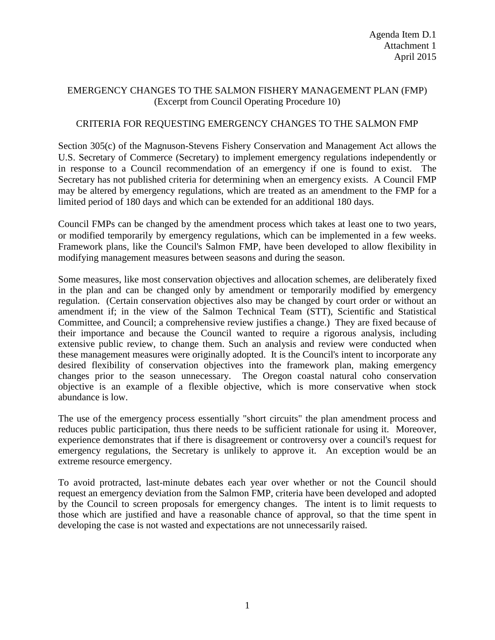## EMERGENCY CHANGES TO THE SALMON FISHERY MANAGEMENT PLAN (FMP) (Excerpt from Council Operating Procedure 10)

## CRITERIA FOR REQUESTING EMERGENCY CHANGES TO THE SALMON FMP

Section 305(c) of the Magnuson-Stevens Fishery Conservation and Management Act allows the U.S. Secretary of Commerce (Secretary) to implement emergency regulations independently or in response to a Council recommendation of an emergency if one is found to exist. The Secretary has not published criteria for determining when an emergency exists. A Council FMP may be altered by emergency regulations, which are treated as an amendment to the FMP for a limited period of 180 days and which can be extended for an additional 180 days.

Council FMPs can be changed by the amendment process which takes at least one to two years, or modified temporarily by emergency regulations, which can be implemented in a few weeks. Framework plans, like the Council's Salmon FMP, have been developed to allow flexibility in modifying management measures between seasons and during the season.

Some measures, like most conservation objectives and allocation schemes, are deliberately fixed in the plan and can be changed only by amendment or temporarily modified by emergency regulation. (Certain conservation objectives also may be changed by court order or without an amendment if; in the view of the Salmon Technical Team (STT), Scientific and Statistical Committee, and Council; a comprehensive review justifies a change.) They are fixed because of their importance and because the Council wanted to require a rigorous analysis, including extensive public review, to change them. Such an analysis and review were conducted when these management measures were originally adopted. It is the Council's intent to incorporate any desired flexibility of conservation objectives into the framework plan, making emergency changes prior to the season unnecessary. The Oregon coastal natural coho conservation objective is an example of a flexible objective, which is more conservative when stock abundance is low.

The use of the emergency process essentially "short circuits" the plan amendment process and reduces public participation, thus there needs to be sufficient rationale for using it. Moreover, experience demonstrates that if there is disagreement or controversy over a council's request for emergency regulations, the Secretary is unlikely to approve it. An exception would be an extreme resource emergency.

To avoid protracted, last-minute debates each year over whether or not the Council should request an emergency deviation from the Salmon FMP, criteria have been developed and adopted by the Council to screen proposals for emergency changes. The intent is to limit requests to those which are justified and have a reasonable chance of approval, so that the time spent in developing the case is not wasted and expectations are not unnecessarily raised.